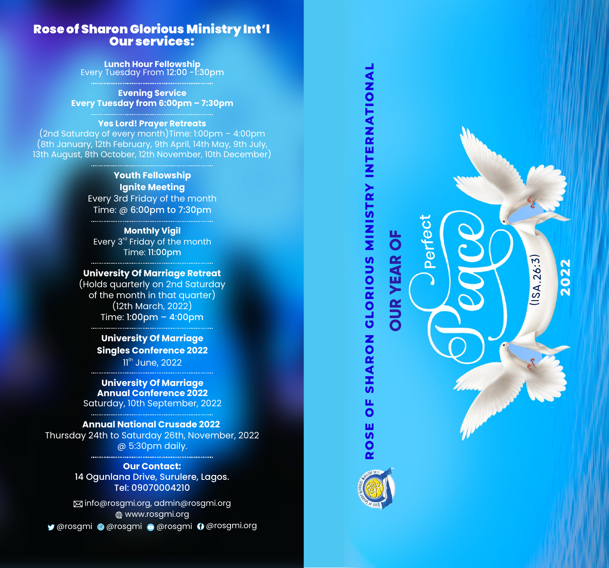# Rose of Sharon Glorious Ministry Int'l Our services:

**Lunch Hour Fellowship** Every Tuesday From 12:00 -1:30pm

**Evening Service Every Tuesday from 6:00pm – 7:30pm** 

#### **Yes Lord! Prayer Retreats**

(2nd Saturday of every month)Time: 1:00pm – 4:00pm (8th January, 12th February, 9th April, 14th May, 9th July, 13th August, 8th October, 12th November, 10th December)

> **Youth Fellowship Ignite Meeting**  Every 3rd Friday of the month Time: @ 6:00pm to 7:30pm

**Monthly Vigil** Every 3<sup>rd</sup> Friday of the month Time: 11:00pm

**University Of Marriage Retreat**  (Holds quarterly on 2nd Saturday of the month in that quarter) (12th March, 2022) Time: 1:00pm – 4:00pm

> **University Of Marriage Singles Conference 2022**  $11<sup>th</sup>$  June, 2022

**University Of Marriage Annual Conference 2022** Saturday, 10th September, 2022

**Annual National Crusade 2022** Thursday 24th to Saturday 26th, November, 2022 @ 5:30pm daily.

> **Our Contact:** 14 Ogunlana Drive, Surulere, Lagos. Tel: 09070004210

info@rosgmi.org, admin@rosgmi.org @rosgmi @rosgmi @rosgmi @rosgmi.org www.rosgmi.org